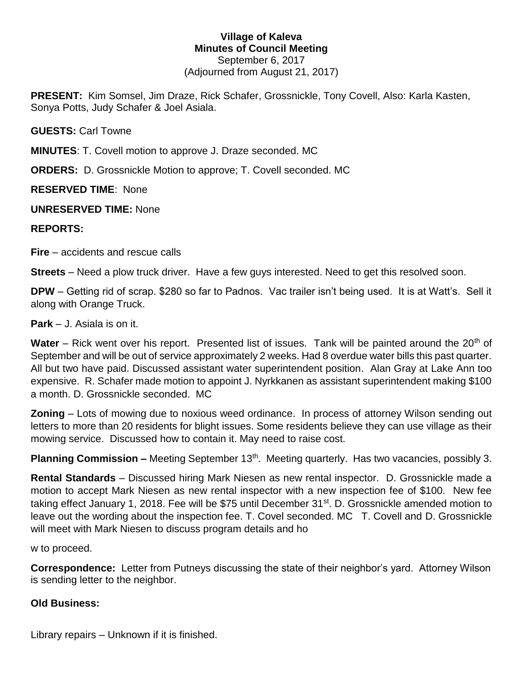#### **Village of Kaleva Minutes of Council Meeting** September 6, 2017 (Adjourned from August 21, 2017)

**PRESENT:** Kim Somsel, Jim Draze, Rick Schafer, Grossnickle, Tony Covell, Also: Karla Kasten, Sonya Potts, Judy Schafer & Joel Asiala.

**GUESTS:** Carl Towne

**MINUTES**: T. Covell motion to approve J. Draze seconded. MC

**ORDERS:** D. Grossnickle Motion to approve; T. Covell seconded. MC

**RESERVED TIME**: None

## **UNRESERVED TIME:** None

# **REPORTS:**

**Fire** – accidents and rescue calls

**Streets** – Need a plow truck driver. Have a few guys interested. Need to get this resolved soon.

**DPW** – Getting rid of scrap. \$280 so far to Padnos. Vac trailer isn't being used. It is at Watt's. Sell it along with Orange Truck.

**Park** – J. Asiala is on it.

**Water** – Rick went over his report. Presented list of issues. Tank will be painted around the 20<sup>th</sup> of September and will be out of service approximately 2 weeks. Had 8 overdue water bills this past quarter. All but two have paid. Discussed assistant water superintendent position. Alan Gray at Lake Ann too expensive. R. Schafer made motion to appoint J. Nyrkkanen as assistant superintendent making \$100 a month. D. Grossnickle seconded. MC

**Zoning** – Lots of mowing due to noxious weed ordinance. In process of attorney Wilson sending out letters to more than 20 residents for blight issues. Some residents believe they can use village as their mowing service. Discussed how to contain it. May need to raise cost.

**Planning Commission –** Meeting September 13<sup>th</sup>. Meeting quarterly. Has two vacancies, possibly 3.

**Rental Standards** – Discussed hiring Mark Niesen as new rental inspector. D. Grossnickle made a motion to accept Mark Niesen as new rental inspector with a new inspection fee of \$100. New fee taking effect January 1, 2018. Fee will be \$75 until December 31<sup>st</sup>. D. Grossnickle amended motion to leave out the wording about the inspection fee. T. Covel seconded. MC T. Covell and D. Grossnickle will meet with Mark Niesen to discuss program details and ho

w to proceed.

**Correspondence:** Letter from Putneys discussing the state of their neighbor's yard. Attorney Wilson is sending letter to the neighbor.

## **Old Business:**

Library repairs – Unknown if it is finished.